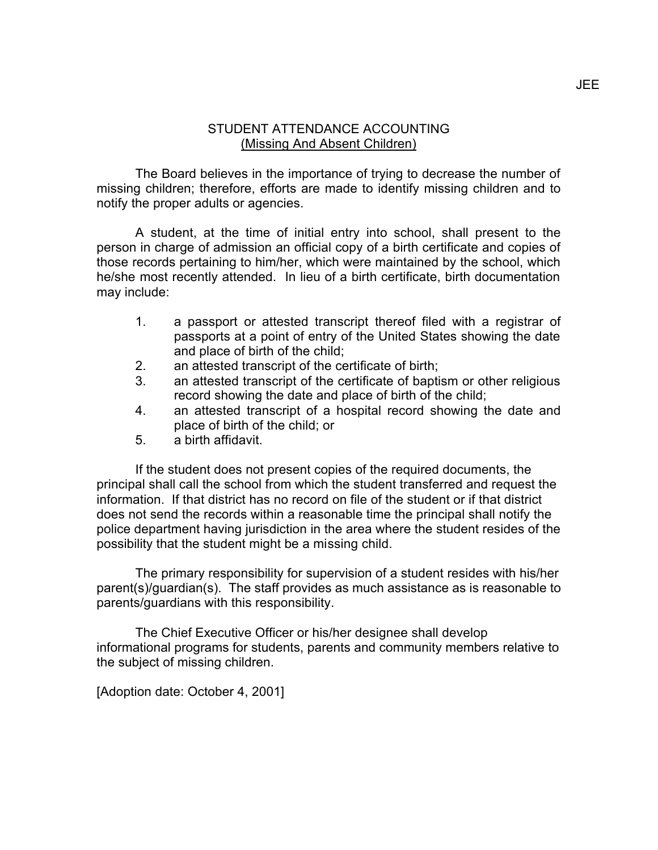## STUDENT ATTENDANCE ACCOUNTING (Missing And Absent Children)

The Board believes in the importance of trying to decrease the number of missing children; therefore, efforts are made to identify missing children and to notify the proper adults or agencies.

A student, at the time of initial entry into school, shall present to the person in charge of admission an official copy of a birth certificate and copies of those records pertaining to him/her, which were maintained by the school, which he/she most recently attended. In lieu of a birth certificate, birth documentation may include:

- 1. a passport or attested transcript thereof filed with a registrar of passports at a point of entry of the United States showing the date and place of birth of the child;
- 2. an attested transcript of the certificate of birth;
- 3. an attested transcript of the certificate of baptism or other religious record showing the date and place of birth of the child;
- 4. an attested transcript of a hospital record showing the date and place of birth of the child; or
- 5. a birth affidavit.

If the student does not present copies of the required documents, the principal shall call the school from which the student transferred and request the information. If that district has no record on file of the student or if that district does not send the records within a reasonable time the principal shall notify the police department having jurisdiction in the area where the student resides of the possibility that the student might be a missing child.

The primary responsibility for supervision of a student resides with his/her parent(s)/guardian(s). The staff provides as much assistance as is reasonable to parents/guardians with this responsibility.

The Chief Executive Officer or his/her designee shall develop informational programs for students, parents and community members relative to the subject of missing children.

[Adoption date: October 4, 2001]